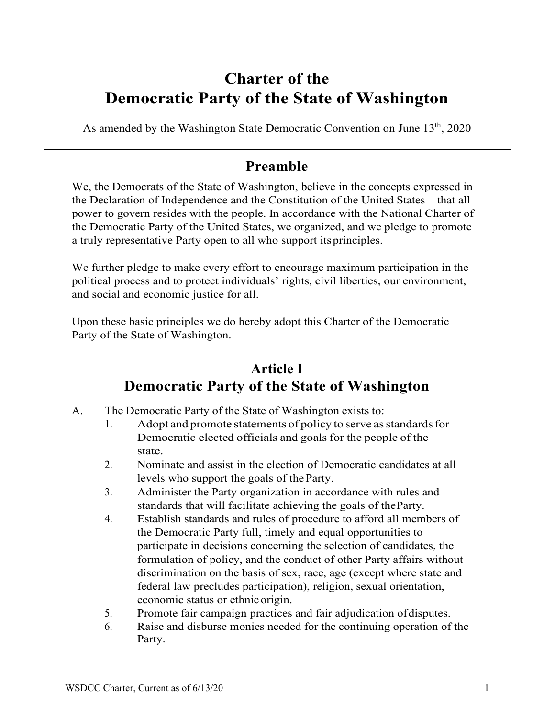## **Charter of the Democratic Party of the State of Washington**

As amended by the Washington State Democratic Convention on June 13<sup>th</sup>, 2020

#### **Preamble**

We, the Democrats of the State of Washington, believe in the concepts expressed in the Declaration of Independence and the Constitution of the United States – that all power to govern resides with the people. In accordance with the National Charter of the Democratic Party of the United States, we organized, and we pledge to promote a truly representative Party open to all who support itsprinciples.

We further pledge to make every effort to encourage maximum participation in the political process and to protect individuals' rights, civil liberties, our environment, and social and economic justice for all.

Upon these basic principles we do hereby adopt this Charter of the Democratic Party of the State of Washington.

### **Article I Democratic Party of the State of Washington**

- A. The Democratic Party of the State of Washington exists to:
	- 1. Adopt and promote statements of policy to serve as standards for Democratic elected officials and goals for the people of the state.
	- 2. Nominate and assist in the election of Democratic candidates at all levels who support the goals of theParty.
	- 3. Administer the Party organization in accordance with rules and standards that will facilitate achieving the goals of theParty.
	- 4. Establish standards and rules of procedure to afford all members of the Democratic Party full, timely and equal opportunities to participate in decisions concerning the selection of candidates, the formulation of policy, and the conduct of other Party affairs without discrimination on the basis of sex, race, age (except where state and federal law precludes participation), religion, sexual orientation, economic status or ethnic origin.
	- 5. Promote fair campaign practices and fair adjudication ofdisputes.
	- 6. Raise and disburse monies needed for the continuing operation of the Party.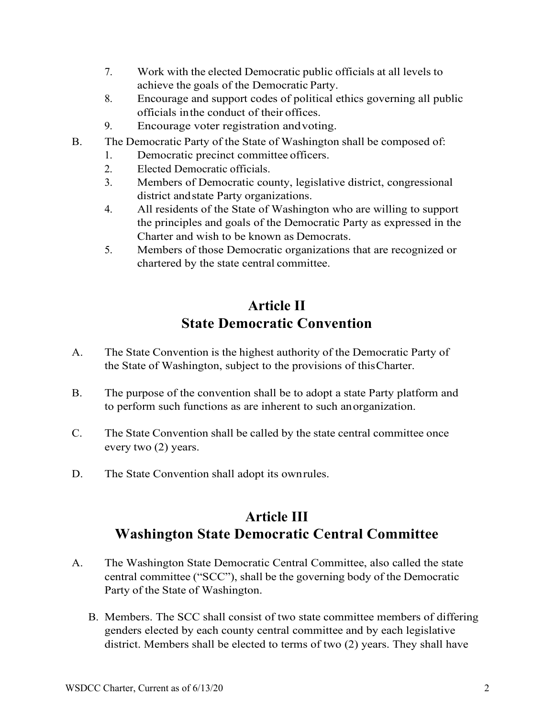- 7. Work with the elected Democratic public officials at all levels to achieve the goals of the Democratic Party.
- 8. Encourage and support codes of political ethics governing all public officials inthe conduct of their offices.
- 9. Encourage voter registration andvoting.
- B. The Democratic Party of the State of Washington shall be composed of:
	- 1. Democratic precinct committee officers.
	- 2. Elected Democratic officials.
	- 3. Members of Democratic county, legislative district, congressional district andstate Party organizations.
	- 4. All residents of the State of Washington who are willing to support the principles and goals of the Democratic Party as expressed in the Charter and wish to be known as Democrats.
	- 5. Members of those Democratic organizations that are recognized or chartered by the state central committee.

## **Article II State Democratic Convention**

- A. The State Convention is the highest authority of the Democratic Party of the State of Washington, subject to the provisions of thisCharter.
- B. The purpose of the convention shall be to adopt a state Party platform and to perform such functions as are inherent to such anorganization.
- C. The State Convention shall be called by the state central committee once every two (2) years.
- D. The State Convention shall adopt its ownrules.

### **Article III Washington State Democratic Central Committee**

- A. The Washington State Democratic Central Committee, also called the state central committee ("SCC"), shall be the governing body of the Democratic Party of the State of Washington.
	- B. Members. The SCC shall consist of two state committee members of differing genders elected by each county central committee and by each legislative district. Members shall be elected to terms of two (2) years. They shall have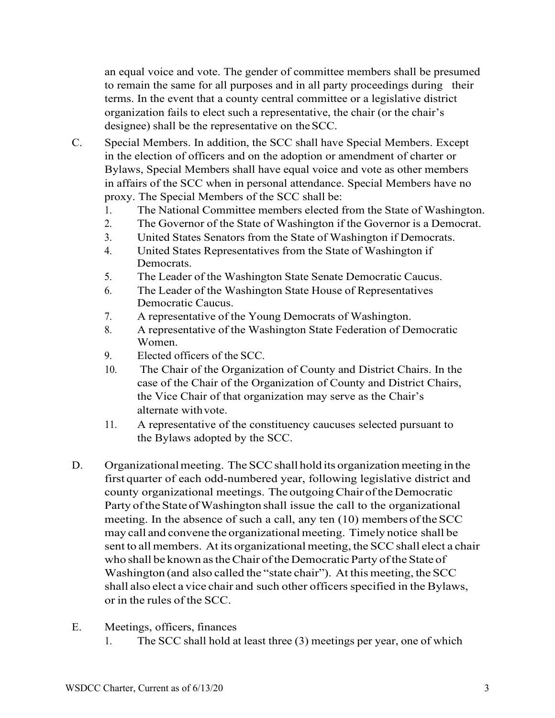an equal voice and vote. The gender of committee members shall be presumed to remain the same for all purposes and in all party proceedings during their terms. In the event that a county central committee or a legislative district organization fails to elect such a representative, the chair (or the chair's designee) shall be the representative on theSCC.

- C. Special Members. In addition, the SCC shall have Special Members. Except in the election of officers and on the adoption or amendment of charter or Bylaws, Special Members shall have equal voice and vote as other members in affairs of the SCC when in personal attendance. Special Members have no proxy. The Special Members of the SCC shall be:
	- 1. The National Committee members elected from the State of Washington.
	- 2. The Governor of the State of Washington if the Governor is a Democrat.
	- 3. United States Senators from the State of Washington if Democrats.
	- 4. United States Representatives from the State of Washington if Democrats.
	- 5. The Leader of the Washington State Senate Democratic Caucus.
	- 6. The Leader of the Washington State House of Representatives Democratic Caucus.
	- 7. A representative of the Young Democrats of Washington.
	- 8. A representative of the Washington State Federation of Democratic Women.
	- 9. Elected officers of the SCC.
	- 10. The Chair of the Organization of County and District Chairs. In the case of the Chair of the Organization of County and District Chairs, the Vice Chair of that organization may serve as the Chair's alternate withvote.
	- 11. A representative of the constituency caucuses selected pursuant to the Bylaws adopted by the SCC.
- D. Organizational meeting. The SCC shall hold its organization meeting in the first quarter of each odd-numbered year, following legislative district and county organizational meetings. The outgoingChair oftheDemocratic Party of the State of Washington shall issue the call to the organizational meeting. In the absence of such a call, any ten  $(10)$  members of the SCC may call and convene the organizational meeting. Timely notice shall be sent to all members. At its organizational meeting, the SCC shall elect a chair who shall be known as the Chair of the Democratic Party of the State of Washington (and also called the "state chair"). At this meeting, the SCC shall also elect a vice chair and such other officers specified in the Bylaws, or in the rules of the SCC.
- E. Meetings, officers, finances
	- 1. The SCC shall hold at least three (3) meetings per year, one of which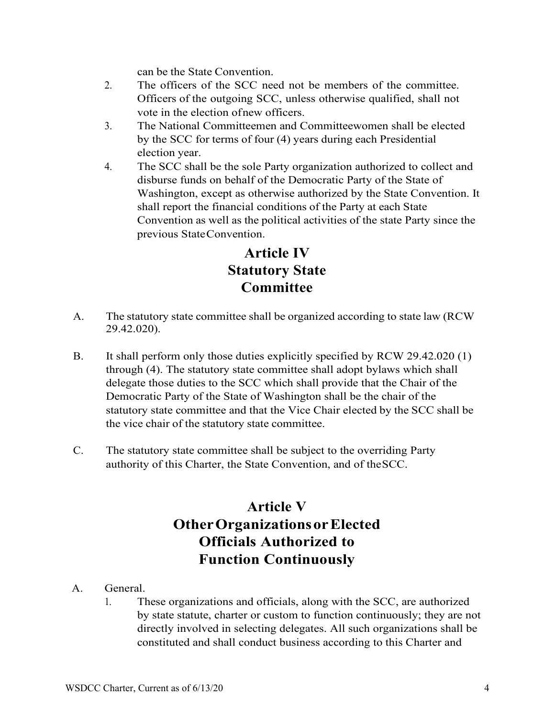can be the State Convention.

- 2. The officers of the SCC need not be members of the committee. Officers of the outgoing SCC, unless otherwise qualified, shall not vote in the election ofnew officers.
- 3. The National Committeemen and Committeewomen shall be elected by the SCC for terms of four (4) years during each Presidential election year.
- 4. The SCC shall be the sole Party organization authorized to collect and disburse funds on behalf of the Democratic Party of the State of Washington, except as otherwise authorized by the State Convention. It shall report the financial conditions of the Party at each State Convention as well as the political activities of the state Party since the previous StateConvention.

### **Article IV Statutory State Committee**

- A. The statutory state committee shall be organized according to state law (RCW 29.42.020).
- B. It shall perform only those duties explicitly specified by RCW 29.42.020 (1) through (4). The statutory state committee shall adopt bylaws which shall delegate those duties to the SCC which shall provide that the Chair of the Democratic Party of the State of Washington shall be the chair of the statutory state committee and that the Vice Chair elected by the SCC shall be the vice chair of the statutory state committee.
- C. The statutory state committee shall be subject to the overriding Party authority of this Charter, the State Convention, and of theSCC.

### **Article V OtherOrganizationsorElected Officials Authorized to Function Continuously**

- A. General.
	- 1. These organizations and officials, along with the SCC, are authorized by state statute, charter or custom to function continuously; they are not directly involved in selecting delegates. All such organizations shall be constituted and shall conduct business according to this Charter and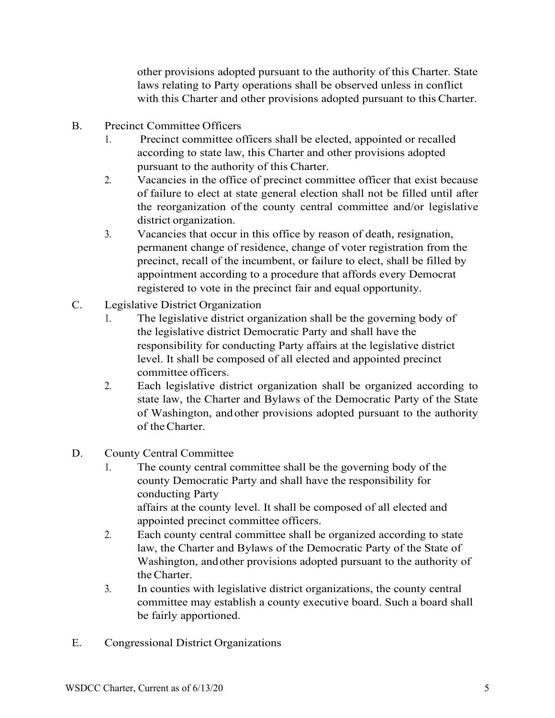other provisions adopted pursuant to the authority of this Charter. State laws relating to Party operations shall be observed unless in conflict with this Charter and other provisions adopted pursuant to this Charter.

- B. Precinct Committee Officers
	- 1. Precinct committee officers shall be elected, appointed or recalled according to state law, this Charter and other provisions adopted pursuant to the authority of this Charter.
	- 2. Vacancies in the office of precinct committee officer that exist because of failure to elect at state general election shall not be filled until after the reorganization of the county central committee and/or legislative district organization.
	- 3. Vacancies that occur in this office by reason of death, resignation, permanent change of residence, change of voter registration from the precinct, recall of the incumbent, or failure to elect, shall be filled by appointment according to a procedure that affords every Democrat registered to vote in the precinct fair and equal opportunity.
- C. Legislative District Organization
	- 1. The legislative district organization shall be the governing body of the legislative district Democratic Party and shall have the responsibility for conducting Party affairs at the legislative district level. It shall be composed of all elected and appointed precinct committee officers.
	- 2. Each legislative district organization shall be organized according to state law, the Charter and Bylaws of the Democratic Party of the State of Washington, and other provisions adopted pursuant to the authority of theCharter.
- D. County Central Committee
	- 1. The county central committee shall be the governing body of the county Democratic Party and shall have the responsibility for conducting Party affairs at the county level. It shall be composed of all elected and appointed precinct committee officers.
	- 2. Each county central committee shall be organized according to state law, the Charter and Bylaws of the Democratic Party of the State of Washington, andother provisions adopted pursuant to the authority of theCharter.
	- 3. In counties with legislative district organizations, the county central committee may establish a county executive board. Such a board shall be fairly apportioned.
- E. Congressional District Organizations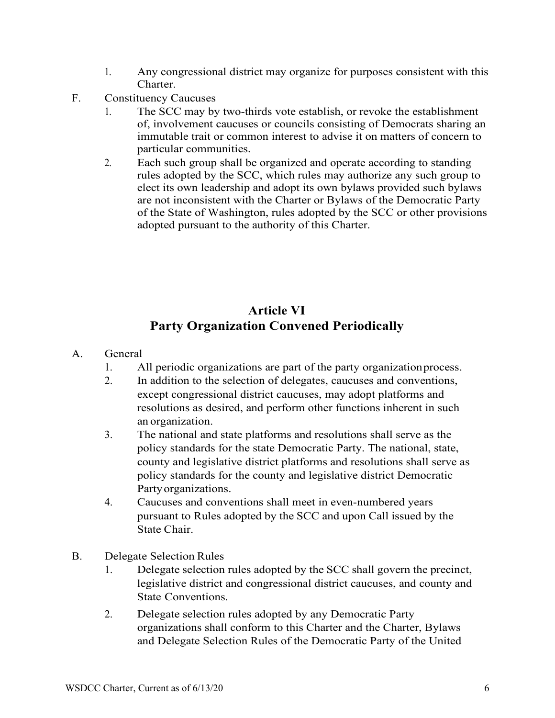- 1. Any congressional district may organize for purposes consistent with this Charter.
- F. Constituency Caucuses
	- 1. The SCC may by two-thirds vote establish, or revoke the establishment of, involvement caucuses or councils consisting of Democrats sharing an immutable trait or common interest to advise it on matters of concern to particular communities.
	- 2. Each such group shall be organized and operate according to standing rules adopted by the SCC, which rules may authorize any such group to elect its own leadership and adopt its own bylaws provided such bylaws are not inconsistent with the Charter or Bylaws of the Democratic Party of the State of Washington, rules adopted by the SCC or other provisions adopted pursuant to the authority of this Charter.

#### **Article VI Party Organization Convened Periodically**

- A. General
	- 1. All periodic organizations are part of the party organizationprocess.
	- 2. In addition to the selection of delegates, caucuses and conventions, except congressional district caucuses, may adopt platforms and resolutions as desired, and perform other functions inherent in such an organization.
	- 3. The national and state platforms and resolutions shall serve as the policy standards for the state Democratic Party. The national, state, county and legislative district platforms and resolutions shall serve as policy standards for the county and legislative district Democratic Partyorganizations.
	- 4. Caucuses and conventions shall meet in even-numbered years pursuant to Rules adopted by the SCC and upon Call issued by the State Chair.
- B. Delegate Selection Rules
	- 1. Delegate selection rules adopted by the SCC shall govern the precinct, legislative district and congressional district caucuses, and county and State Conventions.
	- 2. Delegate selection rules adopted by any Democratic Party organizations shall conform to this Charter and the Charter, Bylaws and Delegate Selection Rules of the Democratic Party of the United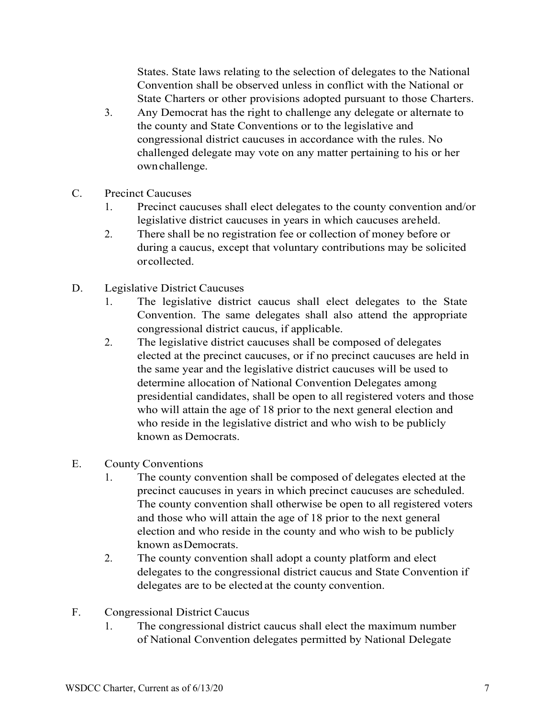States. State laws relating to the selection of delegates to the National Convention shall be observed unless in conflict with the National or State Charters or other provisions adopted pursuant to those Charters.

- 3. Any Democrat has the right to challenge any delegate or alternate to the county and State Conventions or to the legislative and congressional district caucuses in accordance with the rules. No challenged delegate may vote on any matter pertaining to his or her ownchallenge.
- C. Precinct Caucuses
	- 1. Precinct caucuses shall elect delegates to the county convention and/or legislative district caucuses in years in which caucuses areheld.
	- 2. There shall be no registration fee or collection of money before or during a caucus, except that voluntary contributions may be solicited orcollected.
- D. Legislative District Caucuses
	- 1. The legislative district caucus shall elect delegates to the State Convention. The same delegates shall also attend the appropriate congressional district caucus, if applicable.
	- 2. The legislative district caucuses shall be composed of delegates elected at the precinct caucuses, or if no precinct caucuses are held in the same year and the legislative district caucuses will be used to determine allocation of National Convention Delegates among presidential candidates, shall be open to all registered voters and those who will attain the age of 18 prior to the next general election and who reside in the legislative district and who wish to be publicly known as Democrats.
- E. County Conventions
	- 1. The county convention shall be composed of delegates elected at the precinct caucuses in years in which precinct caucuses are scheduled. The county convention shall otherwise be open to all registered voters and those who will attain the age of 18 prior to the next general election and who reside in the county and who wish to be publicly known asDemocrats.
	- 2. The county convention shall adopt a county platform and elect delegates to the congressional district caucus and State Convention if delegates are to be elected at the county convention.
- F. Congressional District Caucus
	- 1. The congressional district caucus shall elect the maximum number of National Convention delegates permitted by National Delegate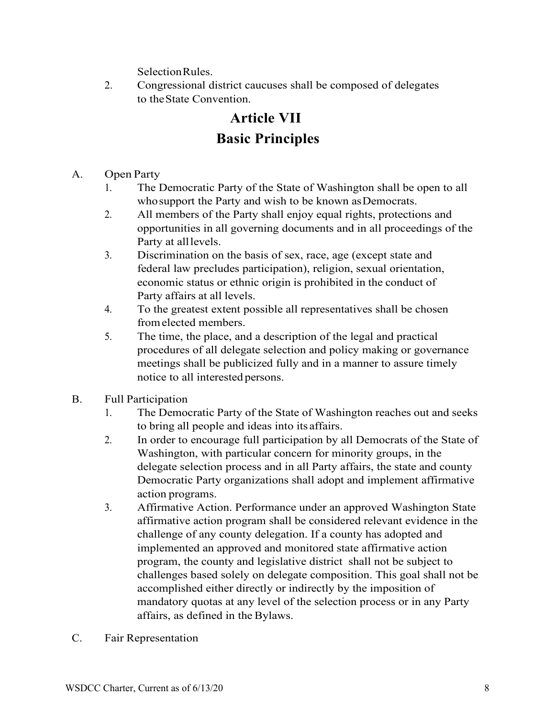SelectionRules.

2. Congressional district caucuses shall be composed of delegates to theState Convention.

# **Article VII Basic Principles**

A. Open Party

- 1. The Democratic Party of the State of Washington shall be open to all who support the Party and wish to be known as Democrats.
- 2. All members of the Party shall enjoy equal rights, protections and opportunities in all governing documents and in all proceedings of the Party at alllevels.
- 3. Discrimination on the basis of sex, race, age (except state and federal law precludes participation), religion, sexual orientation, economic status or ethnic origin is prohibited in the conduct of Party affairs at all levels.
- 4. To the greatest extent possible all representatives shall be chosen fromelected members.
- 5. The time, the place, and a description of the legal and practical procedures of all delegate selection and policy making or governance meetings shall be publicized fully and in a manner to assure timely notice to all interested persons.
- B. Full Participation
	- 1. The Democratic Party of the State of Washington reaches out and seeks to bring all people and ideas into its affairs.
	- 2. In order to encourage full participation by all Democrats of the State of Washington, with particular concern for minority groups, in the delegate selection process and in all Party affairs, the state and county Democratic Party organizations shall adopt and implement affirmative action programs.
	- 3. Affirmative Action. Performance under an approved Washington State affirmative action program shall be considered relevant evidence in the challenge of any county delegation. If a county has adopted and implemented an approved and monitored state affirmative action program, the county and legislative district shall not be subject to challenges based solely on delegate composition. This goal shall not be accomplished either directly or indirectly by the imposition of mandatory quotas at any level of the selection process or in any Party affairs, as defined in the Bylaws.
- C. Fair Representation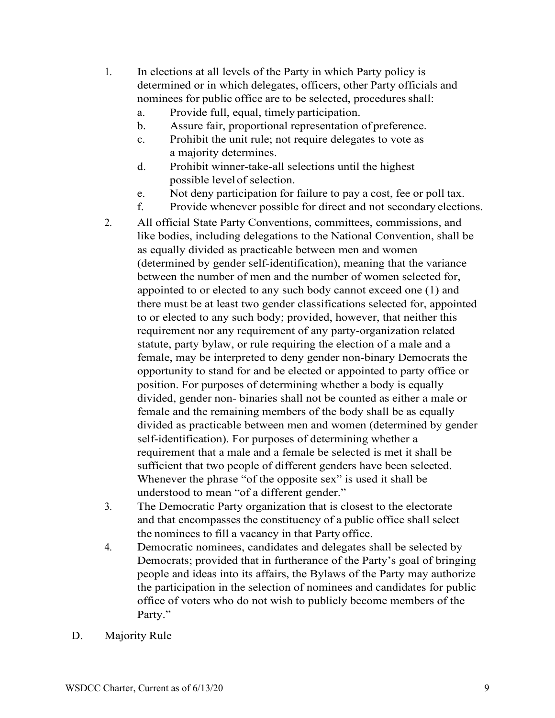- 1. In elections at all levels of the Party in which Party policy is determined or in which delegates, officers, other Party officials and nominees for public office are to be selected, procedures shall:
	- a. Provide full, equal, timely participation.
	- b. Assure fair, proportional representation of preference.
	- c. Prohibit the unit rule; not require delegates to vote as a majority determines.
	- d. Prohibit winner-take-all selections until the highest possible level of selection.
	- e. Not deny participation for failure to pay a cost, fee or poll tax.
	- f. Provide whenever possible for direct and not secondary elections.
- 2. All official State Party Conventions, committees, commissions, and like bodies, including delegations to the National Convention, shall be as equally divided as practicable between men and women (determined by gender self-identification), meaning that the variance between the number of men and the number of women selected for, appointed to or elected to any such body cannot exceed one (1) and there must be at least two gender classifications selected for, appointed to or elected to any such body; provided, however, that neither this requirement nor any requirement of any party-organization related statute, party bylaw, or rule requiring the election of a male and a female, may be interpreted to deny gender non-binary Democrats the opportunity to stand for and be elected or appointed to party office or position. For purposes of determining whether a body is equally divided, gender non- binaries shall not be counted as either a male or female and the remaining members of the body shall be as equally divided as practicable between men and women (determined by gender self-identification). For purposes of determining whether a requirement that a male and a female be selected is met it shall be sufficient that two people of different genders have been selected. Whenever the phrase "of the opposite sex" is used it shall be understood to mean "of a different gender."
- 3. The Democratic Party organization that is closest to the electorate and that encompasses the constituency of a public office shall select the nominees to fill a vacancy in that Party office.
- 4. Democratic nominees, candidates and delegates shall be selected by Democrats; provided that in furtherance of the Party's goal of bringing people and ideas into its affairs, the Bylaws of the Party may authorize the participation in the selection of nominees and candidates for public office of voters who do not wish to publicly become members of the Party."
- D. Majority Rule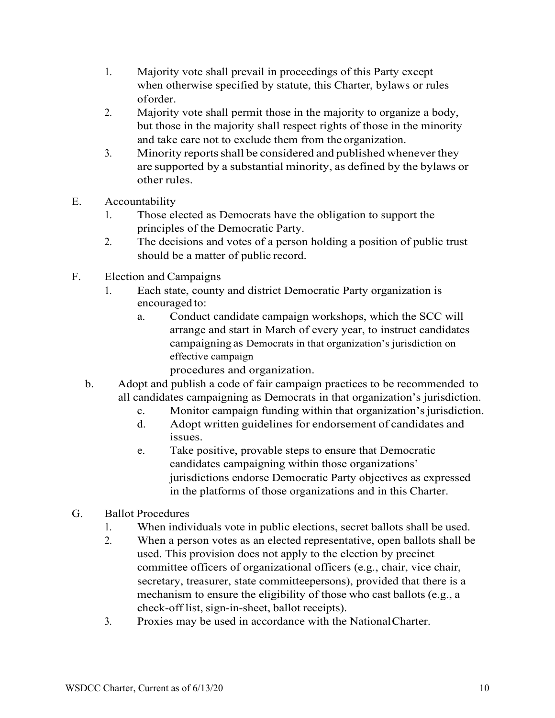- 1. Majority vote shall prevail in proceedings of this Party except when otherwise specified by statute, this Charter, bylaws or rules oforder.
- 2. Majority vote shall permit those in the majority to organize a body, but those in the majority shall respect rights of those in the minority and take care not to exclude them from the organization.
- 3. Minority reports shall be considered and published whenever they are supported by a substantial minority, as defined by the bylaws or other rules.
- E. Accountability
	- 1. Those elected as Democrats have the obligation to support the principles of the Democratic Party.
	- 2. The decisions and votes of a person holding a position of public trust should be a matter of public record.
- F. Election and Campaigns
	- 1. Each state, county and district Democratic Party organization is encouraged to:
		- a. Conduct candidate campaign workshops, which the SCC will arrange and start in March of every year, to instruct candidates campaigning as Democrats in that organization's jurisdiction on effective campaign
			- procedures and organization.
	- b. Adopt and publish a code of fair campaign practices to be recommended to all candidates campaigning as Democrats in that organization's jurisdiction.
		- c. Monitor campaign funding within that organization's jurisdiction.
		- d. Adopt written guidelines for endorsement of candidates and issues.
		- e. Take positive, provable steps to ensure that Democratic candidates campaigning within those organizations' jurisdictions endorse Democratic Party objectives as expressed in the platforms of those organizations and in this Charter.
- G. Ballot Procedures
	- 1. When individuals vote in public elections, secret ballots shall be used.
	- 2. When a person votes as an elected representative, open ballots shall be used. This provision does not apply to the election by precinct committee officers of organizational officers (e.g., chair, vice chair, secretary, treasurer, state committeepersons), provided that there is a mechanism to ensure the eligibility of those who cast ballots (e.g., a check-off list, sign-in-sheet, ballot receipts).
	- 3. Proxies may be used in accordance with the NationalCharter.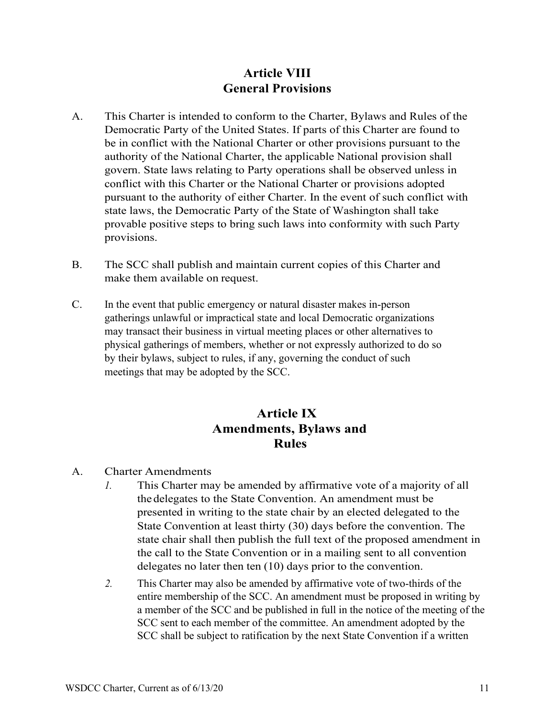#### **Article VIII General Provisions**

- A. This Charter is intended to conform to the Charter, Bylaws and Rules of the Democratic Party of the United States. If parts of this Charter are found to be in conflict with the National Charter or other provisions pursuant to the authority of the National Charter, the applicable National provision shall govern. State laws relating to Party operations shall be observed unless in conflict with this Charter or the National Charter or provisions adopted pursuant to the authority of either Charter. In the event of such conflict with state laws, the Democratic Party of the State of Washington shall take provable positive steps to bring such laws into conformity with such Party provisions.
- B. The SCC shall publish and maintain current copies of this Charter and make them available on request.
- C. In the event that public emergency or natural disaster makes in-person gatherings unlawful or impractical state and local Democratic organizations may transact their business in virtual meeting places or other alternatives to physical gatherings of members, whether or not expressly authorized to do so by their bylaws, subject to rules, if any, governing the conduct of such meetings that may be adopted by the SCC.

#### **Article IX Amendments, Bylaws and Rules**

- A. Charter Amendments
	- *1.* This Charter may be amended by affirmative vote of a majority of all the delegates to the State Convention. An amendment must be presented in writing to the state chair by an elected delegated to the State Convention at least thirty (30) days before the convention. The state chair shall then publish the full text of the proposed amendment in the call to the State Convention or in a mailing sent to all convention delegates no later then ten (10) days prior to the convention.
	- *2.* This Charter may also be amended by affirmative vote of two-thirds of the entire membership of the SCC. An amendment must be proposed in writing by a member of the SCC and be published in full in the notice of the meeting of the SCC sent to each member of the committee. An amendment adopted by the SCC shall be subject to ratification by the next State Convention if a written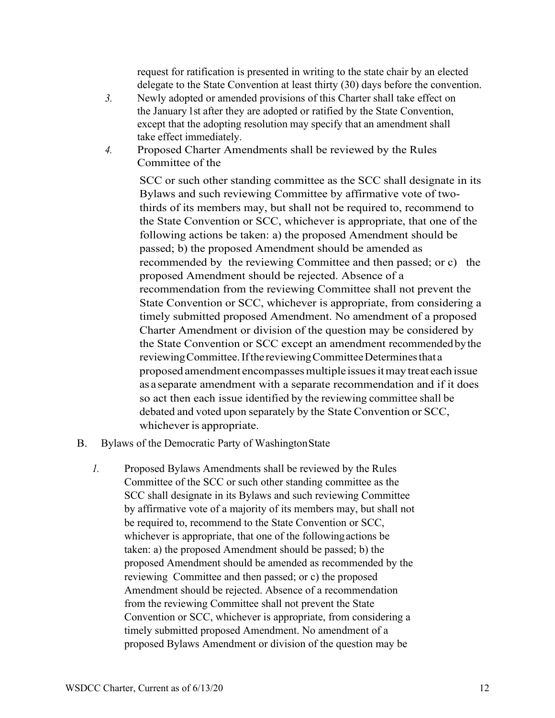request for ratification is presented in writing to the state chair by an elected delegate to the State Convention at least thirty (30) days before the convention.

- *3.* Newly adopted or amended provisions of this Charter shall take effect on the January 1st after they are adopted or ratified by the State Convention, except that the adopting resolution may specify that an amendment shall take effect immediately.
- *4.* Proposed Charter Amendments shall be reviewed by the Rules Committee of the

SCC or such other standing committee as the SCC shall designate in its Bylaws and such reviewing Committee by affirmative vote of twothirds of its members may, but shall not be required to, recommend to the State Convention or SCC, whichever is appropriate, that one of the following actions be taken: a) the proposed Amendment should be passed; b) the proposed Amendment should be amended as recommended by the reviewing Committee and then passed; or c) the proposed Amendment should be rejected. Absence of a recommendation from the reviewing Committee shall not prevent the State Convention or SCC, whichever is appropriate, from considering a timely submitted proposed Amendment. No amendment of a proposed Charter Amendment or division of the question may be considered by the State Convention or SCC except an amendment recommendedbythe reviewing Committee. If the reviewing Committee Determines that a proposed amendment encompassesmultiple issuesitmay treat each issue as a separate amendment with a separate recommendation and if it does so act then each issue identified by the reviewing committee shall be debated and voted upon separately by the State Convention or SCC, whichever is appropriate.

- B. Bylaws of the Democratic Party of WashingtonState
	- *1.* Proposed Bylaws Amendments shall be reviewed by the Rules Committee of the SCC or such other standing committee as the SCC shall designate in its Bylaws and such reviewing Committee by affirmative vote of a majority of its members may, but shall not be required to, recommend to the State Convention or SCC, whichever is appropriate, that one of the followingactions be taken: a) the proposed Amendment should be passed; b) the proposed Amendment should be amended as recommended by the reviewing Committee and then passed; or c) the proposed Amendment should be rejected. Absence of a recommendation from the reviewing Committee shall not prevent the State Convention or SCC, whichever is appropriate, from considering a timely submitted proposed Amendment. No amendment of a proposed Bylaws Amendment or division of the question may be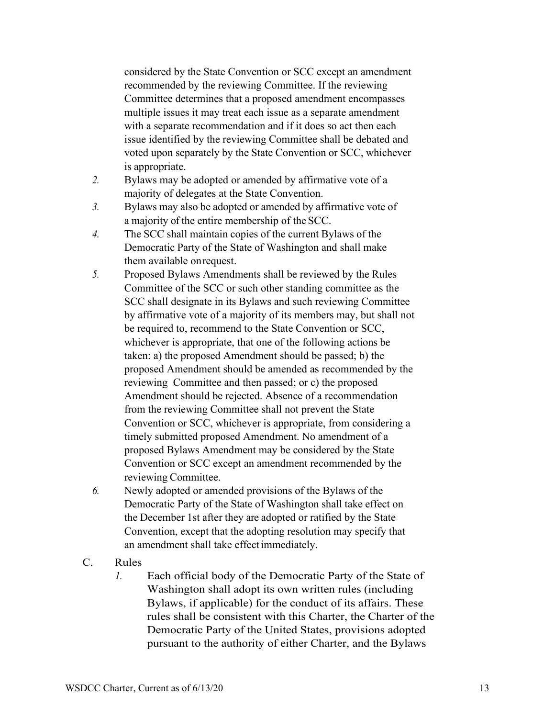considered by the State Convention or SCC except an amendment recommended by the reviewing Committee. If the reviewing Committee determines that a proposed amendment encompasses multiple issues it may treat each issue as a separate amendment with a separate recommendation and if it does so act then each issue identified by the reviewing Committee shall be debated and voted upon separately by the State Convention or SCC, whichever is appropriate.

- *2.* Bylaws may be adopted or amended by affirmative vote of a majority of delegates at the State Convention.
- *3.* Bylaws may also be adopted or amended by affirmative vote of a majority of the entire membership of the SCC.
- *4.* The SCC shall maintain copies of the current Bylaws of the Democratic Party of the State of Washington and shall make them available onrequest.
- *5.* Proposed Bylaws Amendments shall be reviewed by the Rules Committee of the SCC or such other standing committee as the SCC shall designate in its Bylaws and such reviewing Committee by affirmative vote of a majority of its members may, but shall not be required to, recommend to the State Convention or SCC, whichever is appropriate, that one of the following actions be taken: a) the proposed Amendment should be passed; b) the proposed Amendment should be amended as recommended by the reviewing Committee and then passed; or c) the proposed Amendment should be rejected. Absence of a recommendation from the reviewing Committee shall not prevent the State Convention or SCC, whichever is appropriate, from considering a timely submitted proposed Amendment. No amendment of a proposed Bylaws Amendment may be considered by the State Convention or SCC except an amendment recommended by the reviewing Committee.
- *6.* Newly adopted or amended provisions of the Bylaws of the Democratic Party of the State of Washington shall take effect on the December 1st after they are adopted or ratified by the State Convention, except that the adopting resolution may specify that an amendment shall take effectimmediately.
- C. Rules
	- *1.* Each official body of the Democratic Party of the State of Washington shall adopt its own written rules (including Bylaws, if applicable) for the conduct of its affairs. These rules shall be consistent with this Charter, the Charter of the Democratic Party of the United States, provisions adopted pursuant to the authority of either Charter, and the Bylaws